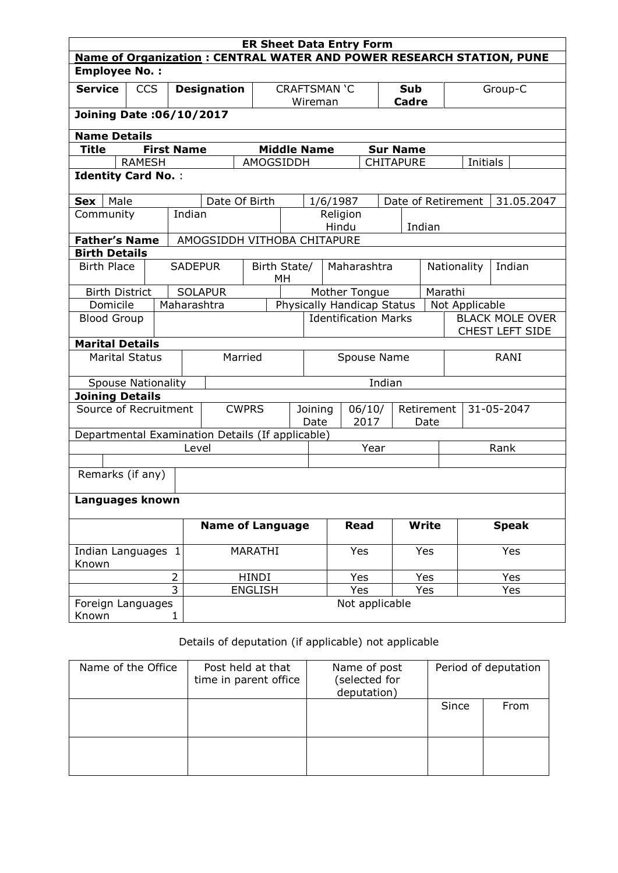| <b>ER Sheet Data Entry Form</b>                                     |                                                                             |                |                    |                             |                |                                   |     |          |                                                  |                    |                    |                       |             |              |            |
|---------------------------------------------------------------------|-----------------------------------------------------------------------------|----------------|--------------------|-----------------------------|----------------|-----------------------------------|-----|----------|--------------------------------------------------|--------------------|--------------------|-----------------------|-------------|--------------|------------|
|                                                                     | <b>Name of Organization: CENTRAL WATER AND POWER RESEARCH STATION, PUNE</b> |                |                    |                             |                |                                   |     |          |                                                  |                    |                    |                       |             |              |            |
| <b>Employee No.:</b>                                                |                                                                             |                |                    |                             |                |                                   |     |          |                                                  |                    |                    |                       |             |              |            |
| <b>Service</b>                                                      | <b>CCS</b>                                                                  |                | <b>Designation</b> |                             |                | <b>CRAFTSMAN 'C</b>               |     |          |                                                  | <b>Sub</b>         |                    | Group-C               |             |              |            |
|                                                                     |                                                                             |                |                    |                             |                | Wireman                           |     |          |                                                  | <b>Cadre</b>       |                    |                       |             |              |            |
| Joining Date: 06/10/2017                                            |                                                                             |                |                    |                             |                |                                   |     |          |                                                  |                    |                    |                       |             |              |            |
| <b>Name Details</b>                                                 |                                                                             |                |                    |                             |                |                                   |     |          |                                                  |                    |                    |                       |             |              |            |
| <b>Title</b>                                                        | <b>First Name</b><br><b>Middle Name</b><br><b>Sur Name</b>                  |                |                    |                             |                |                                   |     |          |                                                  |                    |                    |                       |             |              |            |
|                                                                     | <b>RAMESH</b>                                                               |                |                    |                             | AMOGSIDDH      |                                   |     |          |                                                  |                    | <b>CHITAPURE</b>   |                       | Initials    |              |            |
| <b>Identity Card No.:</b>                                           |                                                                             |                |                    |                             |                |                                   |     |          |                                                  |                    |                    |                       |             |              |            |
|                                                                     |                                                                             |                |                    |                             |                |                                   |     |          |                                                  |                    |                    |                       |             |              |            |
| Male<br>Sex                                                         |                                                                             |                |                    | Date Of Birth               |                |                                   |     | 1/6/1987 |                                                  |                    | Date of Retirement |                       |             |              | 31.05.2047 |
| Community                                                           |                                                                             |                | Indian             |                             |                |                                   |     |          | Religion                                         |                    |                    |                       |             |              |            |
|                                                                     |                                                                             |                |                    |                             |                |                                   |     | Hindu    |                                                  |                    | Indian             |                       |             |              |            |
| <b>Father's Name</b>                                                |                                                                             |                |                    | AMOGSIDDH VITHOBA CHITAPURE |                |                                   |     |          |                                                  |                    |                    |                       |             |              |            |
| <b>Birth Details</b>                                                |                                                                             |                |                    |                             |                |                                   |     |          | Maharashtra                                      |                    |                    |                       |             |              |            |
|                                                                     | <b>Birth Place</b><br><b>SADEPUR</b>                                        |                |                    | Birth State/                | МH             |                                   |     |          |                                                  |                    |                    | Nationality<br>Indian |             |              |            |
| Marathi<br><b>SOLAPUR</b><br>Mother Tongue<br><b>Birth District</b> |                                                                             |                |                    |                             |                |                                   |     |          |                                                  |                    |                    |                       |             |              |            |
|                                                                     | Domicile<br>Maharashtra<br>Physically Handicap Status<br>Not Applicable     |                |                    |                             |                |                                   |     |          |                                                  |                    |                    |                       |             |              |            |
| <b>Blood Group</b>                                                  |                                                                             |                |                    | <b>Identification Marks</b> |                |                                   |     |          | <b>BLACK MOLE OVER</b><br><b>CHEST LEFT SIDE</b> |                    |                    |                       |             |              |            |
| <b>Marital Details</b>                                              |                                                                             |                |                    |                             |                |                                   |     |          |                                                  |                    |                    |                       |             |              |            |
| <b>Marital Status</b>                                               |                                                                             |                |                    | Married                     |                | Spouse Name                       |     |          |                                                  |                    |                    |                       | <b>RANI</b> |              |            |
| <b>Spouse Nationality</b>                                           |                                                                             |                |                    |                             |                | Indian                            |     |          |                                                  |                    |                    |                       |             |              |            |
| <b>Joining Details</b>                                              |                                                                             |                |                    |                             |                |                                   |     |          |                                                  |                    |                    |                       |             |              |            |
| Source of Recruitment                                               |                                                                             |                |                    |                             | <b>CWPRS</b>   | 06/10/<br>Joining<br>Date<br>2017 |     |          |                                                  | Retirement<br>Date |                    | 31-05-2047            |             |              |            |
| Departmental Examination Details (If applicable)                    |                                                                             |                |                    |                             |                |                                   |     |          |                                                  |                    |                    |                       |             |              |            |
|                                                                     |                                                                             |                | Level              |                             |                | Year                              |     |          |                                                  |                    |                    | Rank                  |             |              |            |
|                                                                     |                                                                             |                |                    |                             |                |                                   |     |          |                                                  |                    |                    |                       |             |              |            |
|                                                                     | Remarks (if any)                                                            |                |                    |                             |                |                                   |     |          |                                                  |                    |                    |                       |             |              |            |
| Languages known                                                     |                                                                             |                |                    |                             |                |                                   |     |          |                                                  |                    |                    |                       |             |              |            |
|                                                                     |                                                                             |                |                    | <b>Name of Language</b>     |                |                                   |     |          | <b>Read</b>                                      |                    | <b>Write</b>       |                       |             | <b>Speak</b> |            |
| Indian Languages 1<br>Known                                         |                                                                             |                | MARATHI            |                             |                |                                   | Yes |          | Yes                                              |                    | Yes                |                       |             |              |            |
|                                                                     |                                                                             | $\overline{2}$ |                    |                             | <b>HINDI</b>   |                                   |     |          | Yes                                              |                    | Yes                |                       |             | Yes          |            |
|                                                                     |                                                                             | $\overline{3}$ |                    |                             | <b>ENGLISH</b> |                                   |     |          | Yes                                              |                    | Yes                |                       |             | Yes          |            |
| Foreign Languages<br>Known                                          |                                                                             | 1              |                    |                             |                |                                   |     |          | Not applicable                                   |                    |                    |                       |             |              |            |

# Details of deputation (if applicable) not applicable

| Name of the Office | Post held at that<br>time in parent office | Name of post<br>(selected for<br>deputation) |       | Period of deputation |
|--------------------|--------------------------------------------|----------------------------------------------|-------|----------------------|
|                    |                                            |                                              | Since | From                 |
|                    |                                            |                                              |       |                      |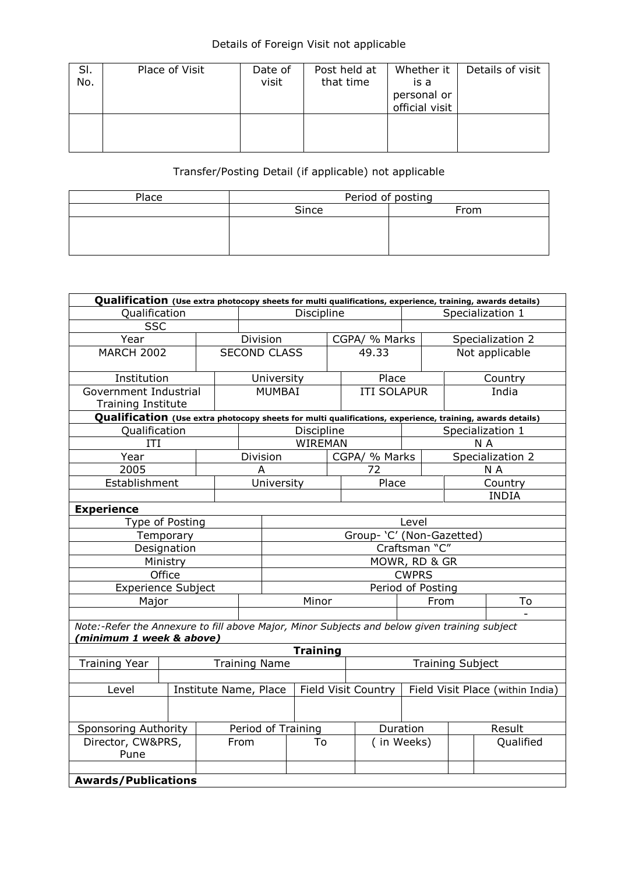### Details of Foreign Visit not applicable

| SI.<br>No. | Place of Visit | Date of<br>visit | Post held at<br>that time | Whether it<br>is a<br>personal or<br>official visit | Details of visit |
|------------|----------------|------------------|---------------------------|-----------------------------------------------------|------------------|
|            |                |                  |                           |                                                     |                  |

# Transfer/Posting Detail (if applicable) not applicable

| Place | Period of posting |      |  |  |  |  |
|-------|-------------------|------|--|--|--|--|
|       | Since             | From |  |  |  |  |
|       |                   |      |  |  |  |  |
|       |                   |      |  |  |  |  |
|       |                   |      |  |  |  |  |

| Qualification (Use extra photocopy sheets for multi qualifications, experience, training, awards details)                 |                            |                           |                    |                      |                 |       |                     |                   |                                  |                  |  |
|---------------------------------------------------------------------------------------------------------------------------|----------------------------|---------------------------|--------------------|----------------------|-----------------|-------|---------------------|-------------------|----------------------------------|------------------|--|
| Qualification                                                                                                             |                            |                           |                    | Discipline           |                 |       |                     | Specialization 1  |                                  |                  |  |
| <b>SSC</b>                                                                                                                |                            |                           |                    |                      |                 |       |                     |                   |                                  |                  |  |
| Year                                                                                                                      |                            |                           | Division           |                      |                 |       | CGPA/ % Marks       |                   |                                  | Specialization 2 |  |
| <b>MARCH 2002</b>                                                                                                         |                            |                           |                    | <b>SECOND CLASS</b>  |                 | 49.33 |                     |                   | Not applicable                   |                  |  |
| Institution                                                                                                               |                            |                           |                    | University           |                 |       | Place               |                   | Country                          |                  |  |
| Government Industrial<br><b>Training Institute</b>                                                                        |                            |                           |                    | <b>MUMBAI</b>        |                 |       | <b>ITI SOLAPUR</b>  |                   |                                  | India            |  |
| Qualification (Use extra photocopy sheets for multi qualifications, experience, training, awards details)                 |                            |                           |                    |                      |                 |       |                     |                   |                                  |                  |  |
| Qualification                                                                                                             |                            |                           |                    |                      | Discipline      |       |                     |                   |                                  | Specialization 1 |  |
| ITI                                                                                                                       |                            |                           |                    |                      | <b>WIREMAN</b>  |       |                     |                   |                                  | N A              |  |
| Year                                                                                                                      |                            |                           |                    | Division             |                 |       | CGPA/ % Marks       |                   |                                  | Specialization 2 |  |
| 2005                                                                                                                      |                            |                           |                    | A                    |                 |       | 72                  |                   |                                  | N A              |  |
| Establishment                                                                                                             |                            |                           |                    | University           |                 |       | Place               |                   |                                  | Country          |  |
|                                                                                                                           |                            |                           |                    |                      |                 |       |                     |                   |                                  | <b>INDIA</b>     |  |
| <b>Experience</b>                                                                                                         |                            |                           |                    |                      |                 |       |                     |                   |                                  |                  |  |
| Type of Posting<br>Level                                                                                                  |                            |                           |                    |                      |                 |       |                     |                   |                                  |                  |  |
| Temporary                                                                                                                 |                            | Group- 'C' (Non-Gazetted) |                    |                      |                 |       |                     |                   |                                  |                  |  |
| Designation                                                                                                               |                            | Craftsman "C"             |                    |                      |                 |       |                     |                   |                                  |                  |  |
| Ministry                                                                                                                  |                            |                           |                    | MOWR, RD & GR        |                 |       |                     |                   |                                  |                  |  |
|                                                                                                                           | Office                     |                           |                    |                      |                 |       |                     | <b>CWPRS</b>      |                                  |                  |  |
| <b>Experience Subject</b>                                                                                                 |                            |                           |                    |                      |                 |       |                     | Period of Posting |                                  |                  |  |
| Major                                                                                                                     |                            |                           | Minor              |                      |                 |       |                     | From              | To                               |                  |  |
|                                                                                                                           |                            |                           |                    |                      |                 |       |                     |                   |                                  |                  |  |
| Note:-Refer the Annexure to fill above Major, Minor Subjects and below given training subject<br>'minimum 1 week & above) |                            |                           |                    |                      |                 |       |                     |                   |                                  |                  |  |
|                                                                                                                           |                            |                           |                    |                      | <b>Training</b> |       |                     |                   |                                  |                  |  |
| <b>Training Year</b>                                                                                                      |                            |                           |                    | <b>Training Name</b> |                 |       |                     |                   | <b>Training Subject</b>          |                  |  |
|                                                                                                                           |                            |                           |                    |                      |                 |       |                     |                   |                                  |                  |  |
| Institute Name, Place<br>Level                                                                                            |                            |                           |                    |                      |                 |       | Field Visit Country |                   | Field Visit Place (within India) |                  |  |
|                                                                                                                           |                            |                           |                    |                      |                 |       |                     |                   |                                  |                  |  |
| <b>Sponsoring Authority</b>                                                                                               |                            |                           | Period of Training |                      |                 |       |                     | Duration          |                                  | Result           |  |
| Director, CW&PRS,<br>Pune                                                                                                 |                            |                           | From               |                      | To              |       |                     | (in Weeks)        |                                  | Qualified        |  |
|                                                                                                                           |                            |                           |                    |                      |                 |       |                     |                   |                                  |                  |  |
|                                                                                                                           | <b>Awards/Publications</b> |                           |                    |                      |                 |       |                     |                   |                                  |                  |  |